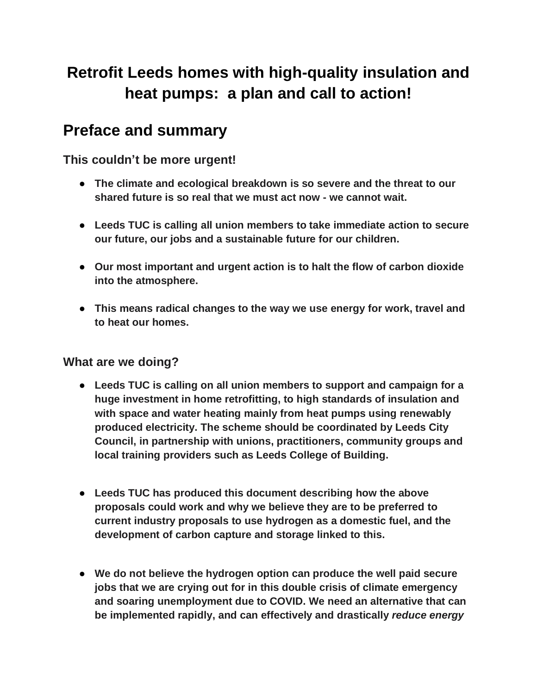# **Retrofit Leeds homes with high-quality insulation and heat pumps: a plan and call to action!**

## **Preface and summary**

**This couldn't be more urgent!**

- **● The climate and ecological breakdown is so severe and the threat to our shared future is so real that we must act now - we cannot wait.**
- **● Leeds TUC is calling all union members to take immediate action to secure our future, our jobs and a sustainable future for our children.**
- **● Our most important and urgent action is to halt the flow of carbon dioxide into the atmosphere.**
- **● This means radical changes to the way we use energy for work, travel and to heat our homes.**

## **What are we doing?**

- **● Leeds TUC is calling on all union members to support and campaign for a huge investment in home retrofitting, to high standards of insulation and with space and water heating mainly from heat pumps using renewably produced electricity. The scheme should be coordinated by Leeds City Council, in partnership with unions, practitioners, community groups and local training providers such as Leeds College of Building.**
- **● Leeds TUC has produced this document describing how the above proposals could work and why we believe they are to be preferred to current industry proposals to use hydrogen as a domestic fuel, and the development of carbon capture and storage linked to this.**
- **● We do not believe the hydrogen option can produce the well paid secure jobs that we are crying out for in this double crisis of climate emergency and soaring unemployment due to COVID. We need an alternative that can be implemented rapidly, and can effectively and drastically** *reduce energy*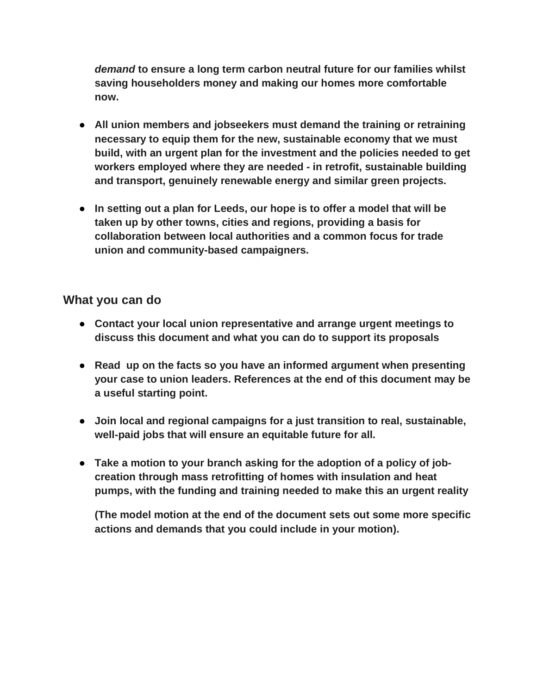*demand* **to ensure a long term carbon neutral future for our families whilst saving householders money and making our homes more comfortable now.**

- **● All union members and jobseekers must demand the training or retraining necessary to equip them for the new, sustainable economy that we must build, with an urgent plan for the investment and the policies needed to get workers employed where they are needed - in retrofit, sustainable building and transport, genuinely renewable energy and similar green projects.**
- **● In setting out a plan for Leeds, our hope is to offer a model that will be taken up by other towns, cities and regions, providing a basis for collaboration between local authorities and a common focus for trade union and community-based campaigners.**

## **What you can do**

- **● Contact your local union representative and arrange urgent meetings to discuss this document and what you can do to support its proposals**
- **● Read up on the facts so you have an informed argument when presenting your case to union leaders. References at the end of this document may be a useful starting point.**
- **● Join local and regional campaigns for a just transition to real, sustainable, well-paid jobs that will ensure an equitable future for all.**
- **● Take a motion to your branch asking for the adoption of a policy of jobcreation through mass retrofitting of homes with insulation and heat pumps, with the funding and training needed to make this an urgent reality**

**(The model motion at the end of the document sets out some more specific actions and demands that you could include in your motion).**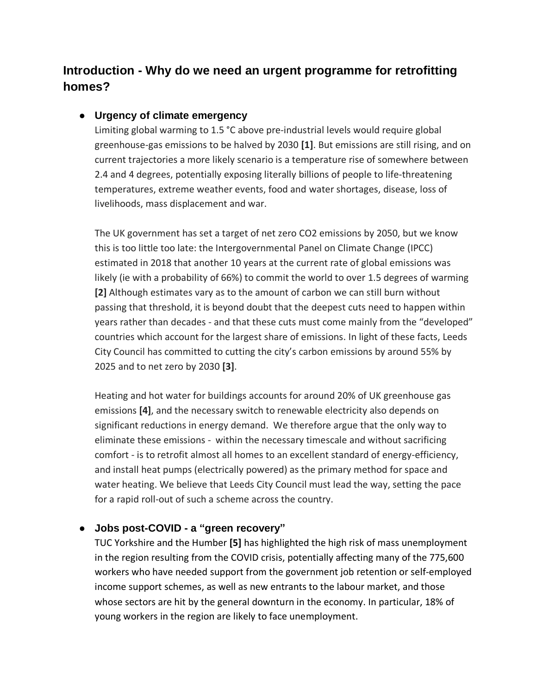## **Introduction - Why do we need an urgent programme for retrofitting homes?**

### **● Urgency of climate emergency**

Limiting global warming to 1.5 °C above pre-industrial levels would require global greenhouse-gas emissions to be halved by 2030 **[1]**. But emissions are still rising, and on current trajectories a more likely scenario is a temperature rise of somewhere between 2.4 and 4 degrees, potentially exposing literally billions of people to life-threatening temperatures, extreme weather events, food and water shortages, disease, loss of livelihoods, mass displacement and war.

The UK government has set a target of net zero CO2 emissions by 2050, but we know this is too little too late: the Intergovernmental Panel on Climate Change (IPCC) estimated in 2018 that another 10 years at the current rate of global emissions was likely (ie with a probability of 66%) to commit the world to over 1.5 degrees of warming **[2]** Although estimates vary as to the amount of carbon we can still burn without passing that threshold, it is beyond doubt that the deepest cuts need to happen within years rather than decades - and that these cuts must come mainly from the "developed" countries which account for the largest share of emissions. In light of these facts, Leeds City Council has committed to cutting the city's carbon emissions by around 55% by 2025 and to net zero by 2030 **[3]**.

Heating and hot water for buildings accounts for around 20% of UK greenhouse gas emissions **[4]**, and the necessary switch to renewable electricity also depends on significant reductions in energy demand. We therefore argue that the only way to eliminate these emissions - within the necessary timescale and without sacrificing comfort - is to retrofit almost all homes to an excellent standard of energy-efficiency, and install heat pumps (electrically powered) as the primary method for space and water heating. We believe that Leeds City Council must lead the way, setting the pace for a rapid roll-out of such a scheme across the country.

## **● Jobs post-COVID - a "green recovery"**

TUC Yorkshire and the Humber **[5]** has highlighted the high risk of mass unemployment in the region resulting from the COVID crisis, potentially affecting many of the 775,600 workers who have needed support from the government job retention or self-employed income support schemes, as well as new entrants to the labour market, and those whose sectors are hit by the general downturn in the economy. In particular, 18% of young workers in the region are likely to face unemployment.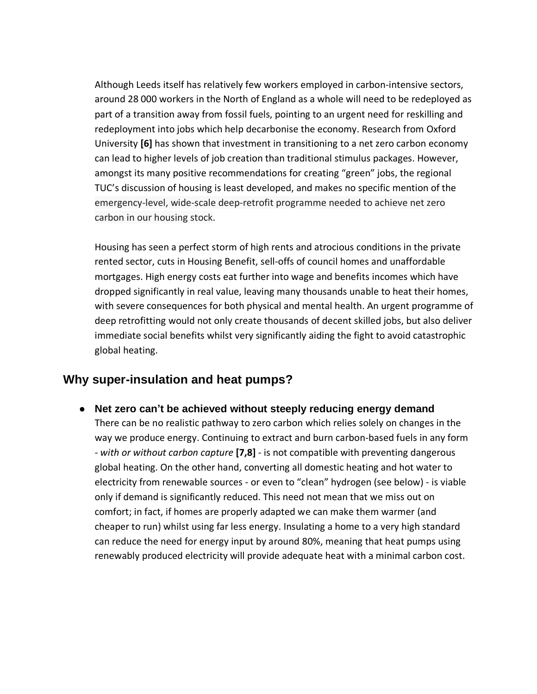Although Leeds itself has relatively few workers employed in carbon-intensive sectors, around 28 000 workers in the North of England as a whole will need to be redeployed as part of a transition away from fossil fuels, pointing to an urgent need for reskilling and redeployment into jobs which help decarbonise the economy. Research from Oxford University **[6]** has shown that investment in transitioning to a net zero carbon economy can lead to higher levels of job creation than traditional stimulus packages. However, amongst its many positive recommendations for creating "green" jobs, the regional TUC's discussion of housing is least developed, and makes no specific mention of the emergency-level, wide-scale deep-retrofit programme needed to achieve net zero carbon in our housing stock.

Housing has seen a perfect storm of high rents and atrocious conditions in the private rented sector, cuts in Housing Benefit, sell-offs of council homes and unaffordable mortgages. High energy costs eat further into wage and benefits incomes which have dropped significantly in real value, leaving many thousands unable to heat their homes, with severe consequences for both physical and mental health. An urgent programme of deep retrofitting would not only create thousands of decent skilled jobs, but also deliver immediate social benefits whilst very significantly aiding the fight to avoid catastrophic global heating.

## **Why super-insulation and heat pumps?**

**● Net zero can't be achieved without steeply reducing energy demand** There can be no realistic pathway to zero carbon which relies solely on changes in the way we produce energy. Continuing to extract and burn carbon-based fuels in any form - *with or without carbon capture* **[7,8]** - is not compatible with preventing dangerous global heating. On the other hand, converting all domestic heating and hot water to electricity from renewable sources - or even to "clean" hydrogen (see below) - is viable only if demand is significantly reduced. This need not mean that we miss out on comfort; in fact, if homes are properly adapted we can make them warmer (and cheaper to run) whilst using far less energy. Insulating a home to a very high standard can reduce the need for energy input by around 80%, meaning that heat pumps using renewably produced electricity will provide adequate heat with a minimal carbon cost.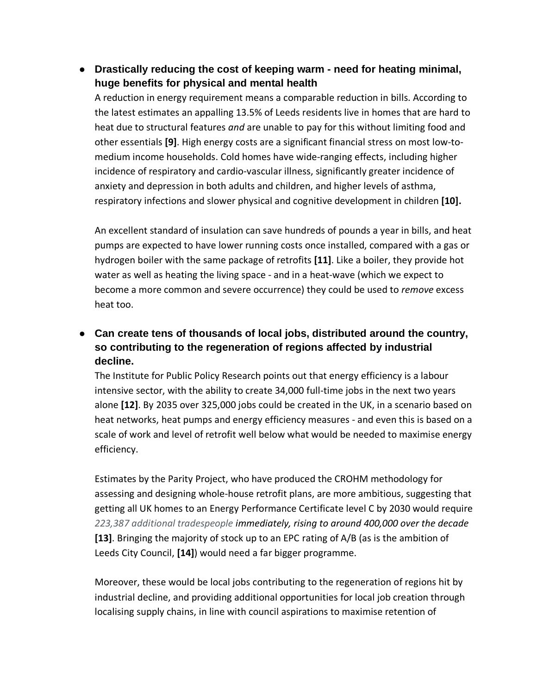**● Drastically reducing the cost of keeping warm - need for heating minimal, huge benefits for physical and mental health**

A reduction in energy requirement means a comparable reduction in bills. According to the latest estimates an appalling 13.5% of Leeds residents live in homes that are hard to heat due to structural features *and* are unable to pay for this without limiting food and other essentials **[9]**. High energy costs are a significant financial stress on most low-tomedium income households. Cold homes have wide-ranging effects, including higher incidence of respiratory and cardio-vascular illness, significantly greater incidence of anxiety and depression in both adults and children, and higher levels of asthma, respiratory infections and slower physical and cognitive development in children **[10].**

An excellent standard of insulation can save hundreds of pounds a year in bills, and heat pumps are expected to have lower running costs once installed, compared with a gas or hydrogen boiler with the same package of retrofits **[11]**. Like a boiler, they provide hot water as well as heating the living space - and in a heat-wave (which we expect to become a more common and severe occurrence) they could be used to *remove* excess heat too.

**● Can create tens of thousands of local jobs, distributed around the country, so contributing to the regeneration of regions affected by industrial decline.**

The Institute for Public Policy Research points out that energy efficiency is a labour intensive sector, with the ability to create 34,000 full-time jobs in the next two years alone **[12]**. By 2035 over 325,000 jobs could be created in the UK, in a scenario based on heat networks, heat pumps and energy efficiency measures - and even this is based on a scale of work and level of retrofit well below what would be needed to maximise energy efficiency.

Estimates by the Parity Project, who have produced the CROHM methodology for assessing and designing whole-house retrofit plans, are more ambitious, suggesting that getting all UK homes to an Energy Performance Certificate level C by 2030 would require *223,387 additional tradespeople immediately, rising to around 400,000 over the decade* **[13]**. Bringing the majority of stock up to an EPC rating of A/B (as is the ambition of Leeds City Council, **[14]**) would need a far bigger programme.

Moreover, these would be local jobs contributing to the regeneration of regions hit by industrial decline, and providing additional opportunities for local job creation through localising supply chains, in line with council aspirations to maximise retention of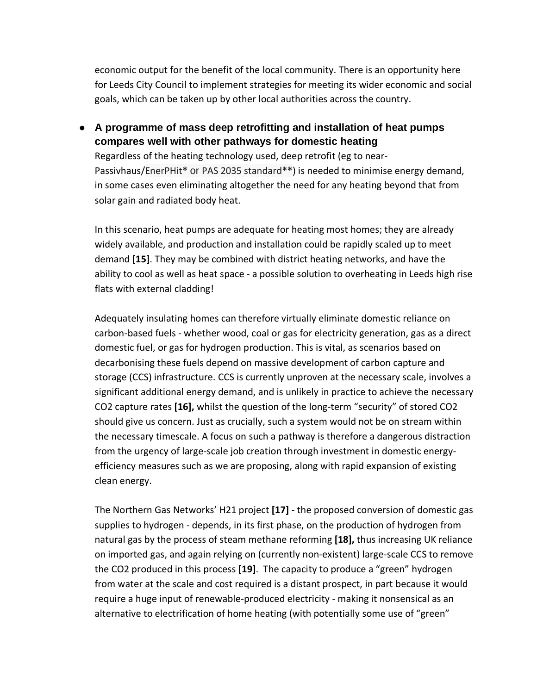economic output for the benefit of the local community. There is an opportunity here for Leeds City Council to implement strategies for meeting its wider economic and social goals, which can be taken up by other local authorities across the country.

**● A programme of mass deep retrofitting and installation of heat pumps compares well with other pathways for domestic heating** Regardless of the heating technology used, deep retrofit (eg to near-Passivhaus/EnerPHit**\*** or PAS 2035 standard**\*\***) is needed to minimise energy demand, in some cases even eliminating altogether the need for any heating beyond that from solar gain and radiated body heat.

In this scenario, heat pumps are adequate for heating most homes; they are already widely available, and production and installation could be rapidly scaled up to meet demand **[15]**. They may be combined with district heating networks, and have the ability to cool as well as heat space - a possible solution to overheating in Leeds high rise flats with external cladding!

Adequately insulating homes can therefore virtually eliminate domestic reliance on carbon-based fuels - whether wood, coal or gas for electricity generation, gas as a direct domestic fuel, or gas for hydrogen production. This is vital, as scenarios based on decarbonising these fuels depend on massive development of carbon capture and storage (CCS) infrastructure. CCS is currently unproven at the necessary scale, involves a significant additional energy demand, and is unlikely in practice to achieve the necessary CO2 capture rates **[16],** whilst the question of the long-term "security" of stored CO2 should give us concern. Just as crucially, such a system would not be on stream within the necessary timescale. A focus on such a pathway is therefore a dangerous distraction from the urgency of large-scale job creation through investment in domestic energyefficiency measures such as we are proposing, along with rapid expansion of existing clean energy.

The Northern Gas Networks' H21 project **[17]** - the proposed conversion of domestic gas supplies to hydrogen - depends, in its first phase, on the production of hydrogen from natural gas by the process of steam methane reforming **[18],** thus increasing UK reliance on imported gas, and again relying on (currently non-existent) large-scale CCS to remove the CO2 produced in this process **[19]**. The capacity to produce a "green" hydrogen from water at the scale and cost required is a distant prospect, in part because it would require a huge input of renewable-produced electricity - making it nonsensical as an alternative to electrification of home heating (with potentially some use of "green"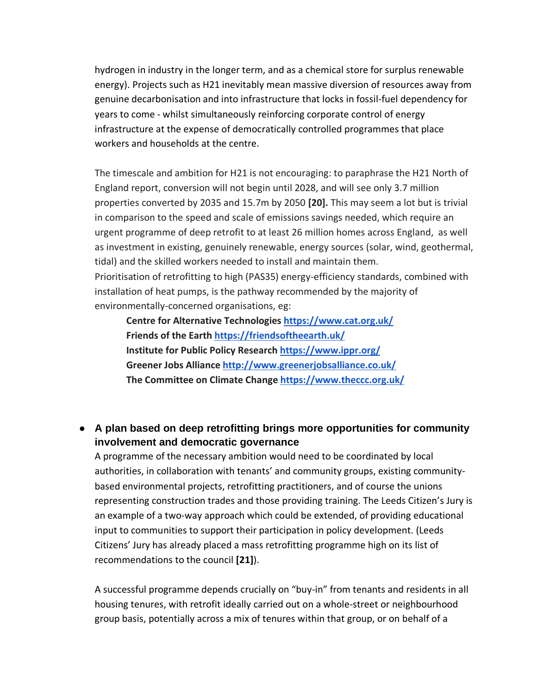hydrogen in industry in the longer term, and as a chemical store for surplus renewable energy). Projects such as H21 inevitably mean massive diversion of resources away from genuine decarbonisation and into infrastructure that locks in fossil-fuel dependency for years to come - whilst simultaneously reinforcing corporate control of energy infrastructure at the expense of democratically controlled programmes that place workers and households at the centre.

The timescale and ambition for H21 is not encouraging: to paraphrase the H21 North of England report, conversion will not begin until 2028, and will see only 3.7 million properties converted by 2035 and 15.7m by 2050 **[20].** This may seem a lot but is trivial in comparison to the speed and scale of emissions savings needed, which require an urgent programme of deep retrofit to at least 26 million homes across England, as well as investment in existing, genuinely renewable, energy sources (solar, wind, geothermal, tidal) and the skilled workers needed to install and maintain them. Prioritisation of retrofitting to high (PAS35) energy-efficiency standards, combined with installation of heat pumps, is the pathway recommended by the majority of environmentally-concerned organisations, eg:

**Centre for Alternative Technologies <https://www.cat.org.uk/> Friends of the Earth <https://friendsoftheearth.uk/> Institute for Public Policy Research <https://www.ippr.org/> Greener Jobs Alliance <http://www.greenerjobsalliance.co.uk/> The Committee on Climate Change <https://www.theccc.org.uk/>**

## **● A plan based on deep retrofitting brings more opportunities for community involvement and democratic governance**

A programme of the necessary ambition would need to be coordinated by local authorities, in collaboration with tenants' and community groups, existing communitybased environmental projects, retrofitting practitioners, and of course the unions representing construction trades and those providing training. The Leeds Citizen's Jury is an example of a two-way approach which could be extended, of providing educational input to communities to support their participation in policy development. (Leeds Citizens' Jury has already placed a mass retrofitting programme high on its list of recommendations to the council **[21]**).

A successful programme depends crucially on "buy-in" from tenants and residents in all housing tenures, with retrofit ideally carried out on a whole-street or neighbourhood group basis, potentially across a mix of tenures within that group, or on behalf of a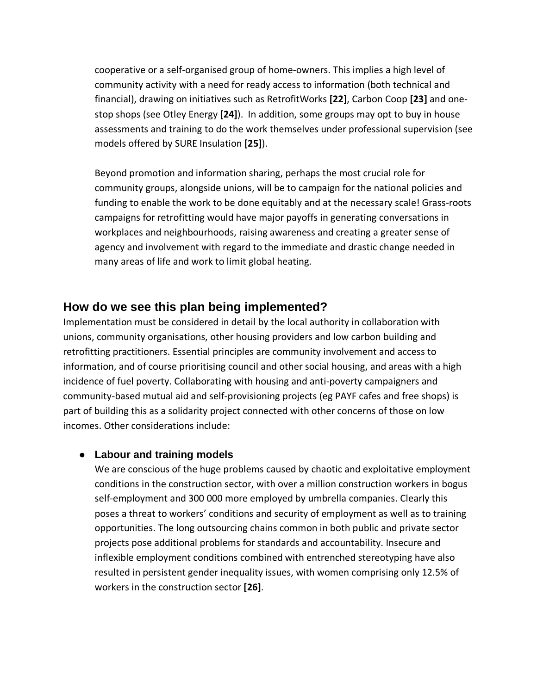cooperative or a self-organised group of home-owners. This implies a high level of community activity with a need for ready access to information (both technical and financial), drawing on initiatives such as RetrofitWorks **[22]**, Carbon Coop **[23]** and onestop shops (see Otley Energy **[24]**). In addition, some groups may opt to buy in house assessments and training to do the work themselves under professional supervision (see models offered by SURE Insulation **[25]**).

Beyond promotion and information sharing, perhaps the most crucial role for community groups, alongside unions, will be to campaign for the national policies and funding to enable the work to be done equitably and at the necessary scale! Grass-roots campaigns for retrofitting would have major payoffs in generating conversations in workplaces and neighbourhoods, raising awareness and creating a greater sense of agency and involvement with regard to the immediate and drastic change needed in many areas of life and work to limit global heating.

## **How do we see this plan being implemented?**

Implementation must be considered in detail by the local authority in collaboration with unions, community organisations, other housing providers and low carbon building and retrofitting practitioners. Essential principles are community involvement and access to information, and of course prioritising council and other social housing, and areas with a high incidence of fuel poverty. Collaborating with housing and anti-poverty campaigners and community-based mutual aid and self-provisioning projects (eg PAYF cafes and free shops) is part of building this as a solidarity project connected with other concerns of those on low incomes. Other considerations include:

## **● Labour and training models**

We are conscious of the huge problems caused by chaotic and exploitative employment conditions in the construction sector, with over a million construction workers in bogus self-employment and 300 000 more employed by umbrella companies. Clearly this poses a threat to workers' conditions and security of employment as well as to training opportunities. The long outsourcing chains common in both public and private sector projects pose additional problems for standards and accountability. Insecure and inflexible employment conditions combined with entrenched stereotyping have also resulted in persistent gender inequality issues, with women comprising only 12.5% of workers in the construction sector **[26]**.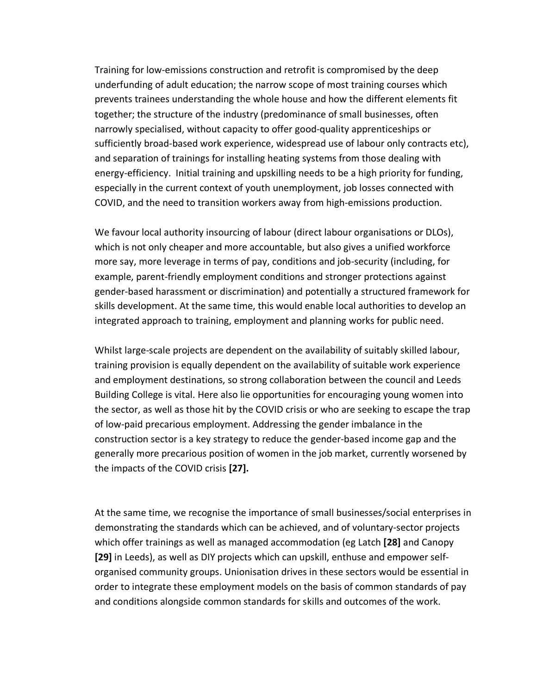Training for low-emissions construction and retrofit is compromised by the deep underfunding of adult education; the narrow scope of most training courses which prevents trainees understanding the whole house and how the different elements fit together; the structure of the industry (predominance of small businesses, often narrowly specialised, without capacity to offer good-quality apprenticeships or sufficiently broad-based work experience, widespread use of labour only contracts etc), and separation of trainings for installing heating systems from those dealing with energy-efficiency. Initial training and upskilling needs to be a high priority for funding, especially in the current context of youth unemployment, job losses connected with COVID, and the need to transition workers away from high-emissions production.

We favour local authority insourcing of labour (direct labour organisations or DLOs), which is not only cheaper and more accountable, but also gives a unified workforce more say, more leverage in terms of pay, conditions and job-security (including, for example, parent-friendly employment conditions and stronger protections against gender-based harassment or discrimination) and potentially a structured framework for skills development. At the same time, this would enable local authorities to develop an integrated approach to training, employment and planning works for public need.

Whilst large-scale projects are dependent on the availability of suitably skilled labour, training provision is equally dependent on the availability of suitable work experience and employment destinations, so strong collaboration between the council and Leeds Building College is vital. Here also lie opportunities for encouraging young women into the sector, as well as those hit by the COVID crisis or who are seeking to escape the trap of low-paid precarious employment. Addressing the gender imbalance in the construction sector is a key strategy to reduce the gender-based income gap and the generally more precarious position of women in the job market, currently worsened by the impacts of the COVID crisis **[27].**

At the same time, we recognise the importance of small businesses/social enterprises in demonstrating the standards which can be achieved, and of voluntary-sector projects which offer trainings as well as managed accommodation (eg Latch **[28]** and Canopy **[29]** in Leeds), as well as DIY projects which can upskill, enthuse and empower selforganised community groups. Unionisation drives in these sectors would be essential in order to integrate these employment models on the basis of common standards of pay and conditions alongside common standards for skills and outcomes of the work.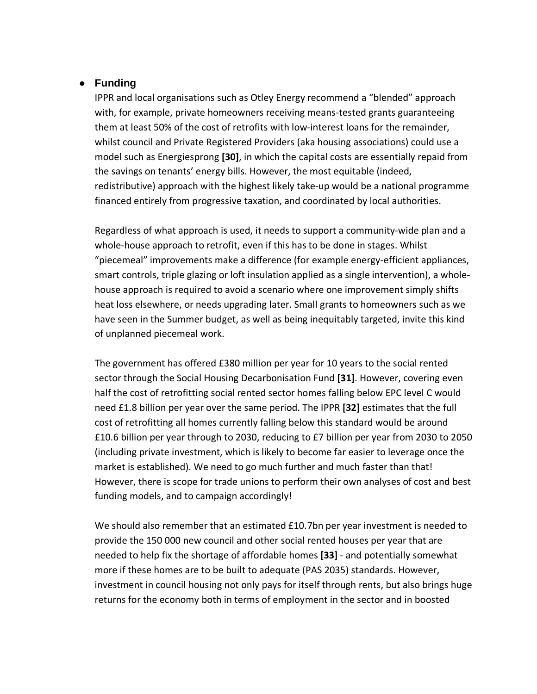#### **● Funding**

IPPR and local organisations such as Otley Energy recommend a "blended" approach with, for example, private homeowners receiving means-tested grants guaranteeing them at least 50% of the cost of retrofits with low-interest loans for the remainder, whilst council and Private Registered Providers (aka housing associations) could use a model such as Energiesprong **[30]**, in which the capital costs are essentially repaid from the savings on tenants' energy bills. However, the most equitable (indeed, redistributive) approach with the highest likely take-up would be a national programme financed entirely from progressive taxation, and coordinated by local authorities.

Regardless of what approach is used, it needs to support a community-wide plan and a whole-house approach to retrofit, even if this has to be done in stages. Whilst "piecemeal" improvements make a difference (for example energy-efficient appliances, smart controls, triple glazing or loft insulation applied as a single intervention), a wholehouse approach is required to avoid a scenario where one improvement simply shifts heat loss elsewhere, or needs upgrading later. Small grants to homeowners such as we have seen in the Summer budget, as well as being inequitably targeted, invite this kind of unplanned piecemeal work.

The government has offered £380 million per year for 10 years to the social rented sector through the Social Housing Decarbonisation Fund **[31]**. However, covering even half the cost of retrofitting social rented sector homes falling below EPC level C would need £1.8 billion per year over the same period. The IPPR **[32]** estimates that the full cost of retrofitting all homes currently falling below this standard would be around £10.6 billion per year through to 2030, reducing to £7 billion per year from 2030 to 2050 (including private investment, which is likely to become far easier to leverage once the market is established). We need to go much further and much faster than that! However, there is scope for trade unions to perform their own analyses of cost and best funding models, and to campaign accordingly!

We should also remember that an estimated £10.7bn per year investment is needed to provide the 150 000 new council and other social rented houses per year that are needed to help fix the shortage of affordable homes **[33]** - and potentially somewhat more if these homes are to be built to adequate (PAS 2035) standards. However, investment in council housing not only pays for itself through rents, but also brings huge returns for the economy both in terms of employment in the sector and in boosted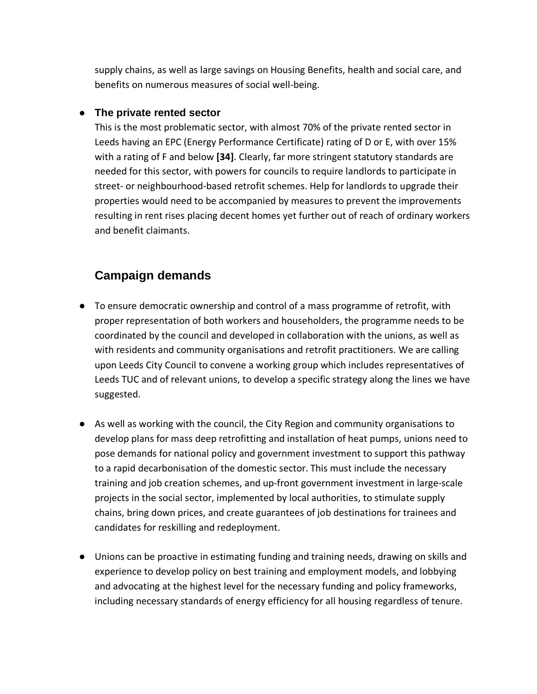supply chains, as well as large savings on Housing Benefits, health and social care, and benefits on numerous measures of social well-being.

#### **● The private rented sector**

This is the most problematic sector, with almost 70% of the private rented sector in Leeds having an EPC (Energy Performance Certificate) rating of D or E, with over 15% with a rating of F and below **[34]**. Clearly, far more stringent statutory standards are needed for this sector, with powers for councils to require landlords to participate in street- or neighbourhood-based retrofit schemes. Help for landlords to upgrade their properties would need to be accompanied by measures to prevent the improvements resulting in rent rises placing decent homes yet further out of reach of ordinary workers and benefit claimants.

## **Campaign demands**

- To ensure democratic ownership and control of a mass programme of retrofit, with proper representation of both workers and householders, the programme needs to be coordinated by the council and developed in collaboration with the unions, as well as with residents and community organisations and retrofit practitioners. We are calling upon Leeds City Council to convene a working group which includes representatives of Leeds TUC and of relevant unions, to develop a specific strategy along the lines we have suggested.
- As well as working with the council, the City Region and community organisations to develop plans for mass deep retrofitting and installation of heat pumps, unions need to pose demands for national policy and government investment to support this pathway to a rapid decarbonisation of the domestic sector. This must include the necessary training and job creation schemes, and up-front government investment in large-scale projects in the social sector, implemented by local authorities, to stimulate supply chains, bring down prices, and create guarantees of job destinations for trainees and candidates for reskilling and redeployment.
- Unions can be proactive in estimating funding and training needs, drawing on skills and experience to develop policy on best training and employment models, and lobbying and advocating at the highest level for the necessary funding and policy frameworks, including necessary standards of energy efficiency for all housing regardless of tenure.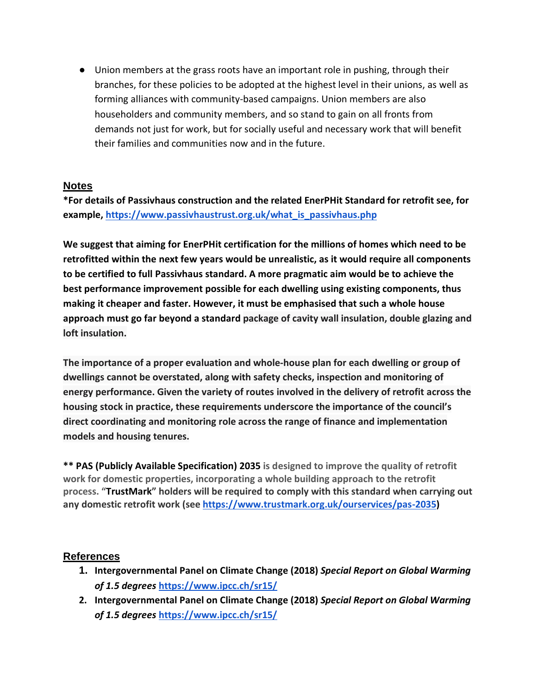● Union members at the grass roots have an important role in pushing, through their branches, for these policies to be adopted at the highest level in their unions, as well as forming alliances with community-based campaigns. Union members are also householders and community members, and so stand to gain on all fronts from demands not just for work, but for socially useful and necessary work that will benefit their families and communities now and in the future.

#### **Notes**

**\*For details of Passivhaus construction and the related EnerPHit Standard for retrofit see, for example, [https://www.passivhaustrust.org.uk/what\\_is\\_passivhaus.php](https://www.passivhaustrust.org.uk/what_is_passivhaus.php)**

**We suggest that aiming for EnerPHit certification for the millions of homes which need to be retrofitted within the next few years would be unrealistic, as it would require all components to be certified to full Passivhaus standard. A more pragmatic aim would be to achieve the best performance improvement possible for each dwelling using existing components, thus making it cheaper and faster. However, it must be emphasised that such a whole house approach must go far beyond a standard package of cavity wall insulation, double glazing and loft insulation.**

**The importance of a proper evaluation and whole-house plan for each dwelling or group of dwellings cannot be overstated, along with safety checks, inspection and monitoring of energy performance. Given the variety of routes involved in the delivery of retrofit across the housing stock in practice, these requirements underscore the importance of the council's direct coordinating and monitoring role across the range of finance and implementation models and housing tenures.**

**\*\* PAS (Publicly Available Specification) 2035 is designed to improve the quality of retrofit work for domestic properties, incorporating a whole building approach to the retrofit process. "[TrustMark](https://www.trustmark.org.uk/ourservices/pas-2035)" holders will be required to comply with this standard when carrying out any domestic retrofit work (see [https://www.trustmark.org.uk/ourservices/pas-2035\)](https://www.trustmark.org.uk/ourservices/pas-2035)**

## **References**

- **1. Intergovernmental Panel on Climate Change (2018)** *Special Report on Global Warming of 1.5 degrees* **<https://www.ipcc.ch/sr15/>**
- **2. Intergovernmental Panel on Climate Change (2018)** *Special Report on Global Warming of 1.5 degrees* **<https://www.ipcc.ch/sr15/>**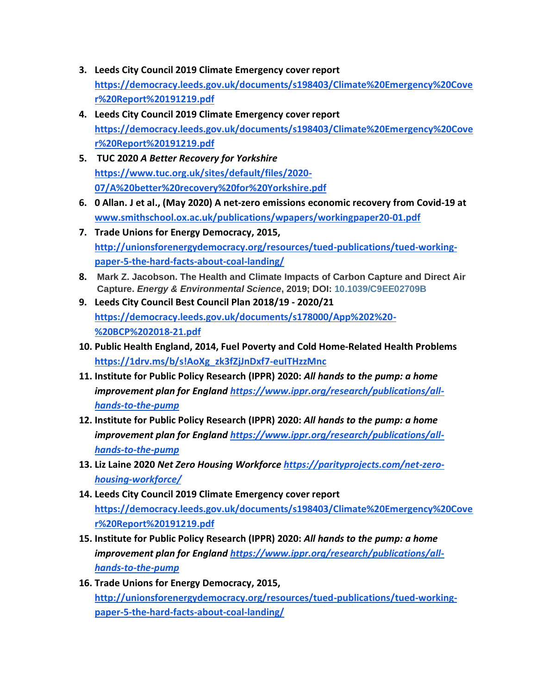- **3. Leeds City Council 2019 Climate Emergency cover report [https://democracy.leeds.gov.uk/documents/s198403/Climate%20Emergency%20Cove](https://democracy.leeds.gov.uk/documents/s198403/Climate%2520Emergency%2520Cover%2520Report%2520191219.pdf) [r%20Report%20191219.pdf](https://democracy.leeds.gov.uk/documents/s198403/Climate%2520Emergency%2520Cover%2520Report%2520191219.pdf)**
- **4. Leeds City Council 2019 Climate Emergency cover report [https://democracy.leeds.gov.uk/documents/s198403/Climate%20Emergency%20Cove](https://democracy.leeds.gov.uk/documents/s198403/Climate%2520Emergency%2520Cover%2520Report%2520191219.pdf) [r%20Report%20191219.pdf](https://democracy.leeds.gov.uk/documents/s198403/Climate%2520Emergency%2520Cover%2520Report%2520191219.pdf)**
- **5. TUC 2020** *A Better Recovery for Yorkshire* **[https://www.tuc.org.uk/sites/default/files/2020-](https://www.tuc.org.uk/sites/default/files/2020-07/A%2520better%2520recovery%2520for%2520Yorkshire.pdf) [07/A%20better%20recovery%20for%20Yorkshire.pdf](https://www.tuc.org.uk/sites/default/files/2020-07/A%2520better%2520recovery%2520for%2520Yorkshire.pdf)**
- **6. 0 Allan. J et al., (May 2020) A net-zero emissions economic recovery from Covid-19 at [www.smithschool.ox.ac.uk/publications/wpapers/workingpaper20-01.pdf](http://www.smithschool.ox.ac.uk/publications/wpapers/workingpaper20-01.pdf)**
- **7. Trade Unions for Energy Democracy, 2015, [http://unionsforenergydemocracy.org/resources/tued-publications/tued-working](http://unionsforenergydemocracy.org/resources/tued-publications/tued-working-paper-5-the-hard-facts-about-coal-landing/)[paper-5-the-hard-facts-about-coal-landing/](http://unionsforenergydemocracy.org/resources/tued-publications/tued-working-paper-5-the-hard-facts-about-coal-landing/)**
- **8. Mark Z. Jacobson. The Health and Climate Impacts of Carbon Capture and Direct Air Capture.** *Energy & Environmental Science***, 2019; DOI: [10.1039/C9EE02709B](http://dx.doi.org/10.1039/C9EE02709B)**
- **9. Leeds City Council Best Council Plan 2018/19 - 2020/21 [https://democracy.leeds.gov.uk/documents/s178000/App%202%20-](https://democracy.leeds.gov.uk/documents/s178000/App%25202%2520-%2520BCP%25202018-21.pdf) [%20BCP%202018-21.pdf](https://democracy.leeds.gov.uk/documents/s178000/App%25202%2520-%2520BCP%25202018-21.pdf)**
- **10. Public Health England, 2014, Fuel Poverty and Cold Home-Related Health Problems [https://1drv.ms/b/s!AoXg\\_zk3fZjJnDxf7-euITHzzMnc](https://1drv.ms/b/s!AoXg_zk3fZjJnDxf7-euITHzzMnc)**
- **11. Institute for Public Policy Research (IPPR) 2020:** *All hands to the pump: a home improvement plan for England [https://www.ippr.org/research/publications/all](https://www.ippr.org/research/publications/all-hands-to-the-pump)[hands-to-the-pump](https://www.ippr.org/research/publications/all-hands-to-the-pump)*
- **12. Institute for Public Policy Research (IPPR) 2020:** *All hands to the pump: a home improvement plan for England [https://www.ippr.org/research/publications/all](https://www.ippr.org/research/publications/all-hands-to-the-pump)[hands-to-the-pump](https://www.ippr.org/research/publications/all-hands-to-the-pump)*
- **13. Liz Laine 2020** *Net Zero Housing Workforce [https://parityprojects.com/net-zero](https://parityprojects.com/net-zero-housing-workforce/)[housing-workforce/](https://parityprojects.com/net-zero-housing-workforce/)*
- **14. Leeds City Council 2019 Climate Emergency cover report [https://democracy.leeds.gov.uk/documents/s198403/Climate%20Emergency%20Cove](https://democracy.leeds.gov.uk/documents/s198403/Climate%2520Emergency%2520Cover%2520Report%2520191219.pdf) [r%20Report%20191219.pdf](https://democracy.leeds.gov.uk/documents/s198403/Climate%2520Emergency%2520Cover%2520Report%2520191219.pdf)**
- **15. Institute for Public Policy Research (IPPR) 2020:** *All hands to the pump: a home improvement plan for England [https://www.ippr.org/research/publications/all](https://www.ippr.org/research/publications/all-hands-to-the-pump)[hands-to-the-pump](https://www.ippr.org/research/publications/all-hands-to-the-pump)*
- **16. Trade Unions for Energy Democracy, 2015, [http://unionsforenergydemocracy.org/resources/tued-publications/tued-working](http://unionsforenergydemocracy.org/resources/tued-publications/tued-working-paper-5-the-hard-facts-about-coal-landing/)[paper-5-the-hard-facts-about-coal-landing/](http://unionsforenergydemocracy.org/resources/tued-publications/tued-working-paper-5-the-hard-facts-about-coal-landing/)**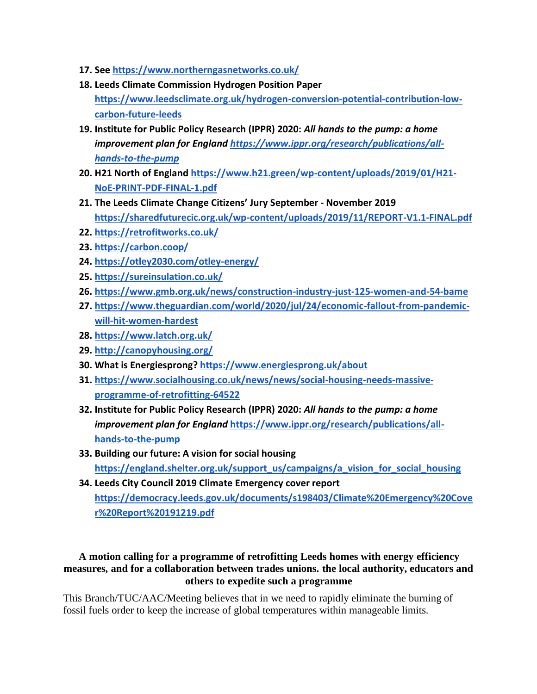- **17. See <https://www.northerngasnetworks.co.uk/>**
- **18. Leeds Climate Commission Hydrogen Position Paper [https://www.leedsclimate.org.uk/hydrogen-conversion-potential-contribution-low](https://www.leedsclimate.org.uk/hydrogen-conversion-potential-contribution-low-carbon-future-leeds)[carbon-future-leeds](https://www.leedsclimate.org.uk/hydrogen-conversion-potential-contribution-low-carbon-future-leeds)**
- **19. Institute for Public Policy Research (IPPR) 2020:** *All hands to the pump: a home improvement plan for England [https://www.ippr.org/research/publications/all](https://www.ippr.org/research/publications/all-hands-to-the-pump)[hands-to-the-pump](https://www.ippr.org/research/publications/all-hands-to-the-pump)*
- **20. H21 North of England [https://www.h21.green/wp-content/uploads/2019/01/H21-](https://www.h21.green/wp-content/uploads/2019/01/H21-NoE-PRINT-PDF-FINAL-1.pdf) [NoE-PRINT-PDF-FINAL-1.pdf](https://www.h21.green/wp-content/uploads/2019/01/H21-NoE-PRINT-PDF-FINAL-1.pdf)**
- **21. The Leeds Climate Change Citizens' Jury September - November 2019 <https://sharedfuturecic.org.uk/wp-content/uploads/2019/11/REPORT-V1.1-FINAL.pdf>**
- **22. <https://retrofitworks.co.uk/>**
- **23. <https://carbon.coop/>**
- **24. <https://otley2030.com/otley-energy/>**
- **25. <https://sureinsulation.co.uk/>**
- **26. <https://www.gmb.org.uk/news/construction-industry-just-125-women-and-54-bame>**
- **27. [https://www.theguardian.com/world/2020/jul/24/economic-fallout-from-pandemic](https://www.theguardian.com/world/2020/jul/24/economic-fallout-from-pandemic-will-hit-women-hardest)[will-hit-women-hardest](https://www.theguardian.com/world/2020/jul/24/economic-fallout-from-pandemic-will-hit-women-hardest)**
- **28. <https://www.latch.org.uk/>**
- **29. <http://canopyhousing.org/>**
- **30. What is Energiesprong? <https://www.energiesprong.uk/about>**
- **31. [https://www.socialhousing.co.uk/news/news/social-housing-needs-massive](https://www.socialhousing.co.uk/news/news/social-housing-needs-massive-programme-of-retrofitting-64522)[programme-of-retrofitting-64522](https://www.socialhousing.co.uk/news/news/social-housing-needs-massive-programme-of-retrofitting-64522)**
- **32. Institute for Public Policy Research (IPPR) 2020:** *All hands to the pump: a home improvement plan for England* **[https://www.ippr.org/research/publications/all](https://www.ippr.org/research/publications/all-hands-to-the-pump)[hands-to-the-pump](https://www.ippr.org/research/publications/all-hands-to-the-pump)**
- **33. Building our future: A vision for social housing [https://england.shelter.org.uk/support\\_us/campaigns/a\\_vision\\_for\\_social\\_housing](https://england.shelter.org.uk/support_us/campaigns/a_vision_for_social_housing)**
- **34. Leeds City Council 2019 Climate Emergency cover report [https://democracy.leeds.gov.uk/documents/s198403/Climate%20Emergency%20Cove](https://democracy.leeds.gov.uk/documents/s198403/Climate%2520Emergency%2520Cover%2520Report%2520191219.pdf) [r%20Report%20191219.pdf](https://democracy.leeds.gov.uk/documents/s198403/Climate%2520Emergency%2520Cover%2520Report%2520191219.pdf)**

#### **A motion calling for a programme of retrofitting Leeds homes with energy efficiency measures, and for a collaboration between trades unions. the local authority, educators and others to expedite such a programme**

This Branch/TUC/AAC/Meeting believes that in we need to rapidly eliminate the burning of fossil fuels order to keep the increase of global temperatures within manageable limits.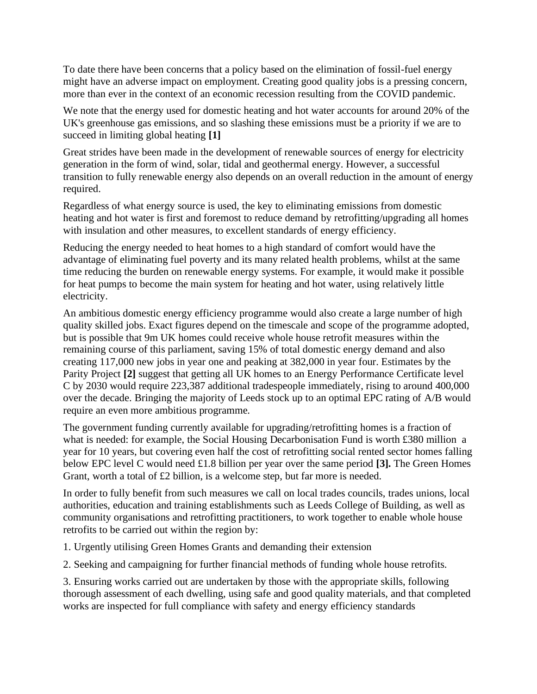To date there have been concerns that a policy based on the elimination of fossil-fuel energy might have an adverse impact on employment. Creating good quality jobs is a pressing concern, more than ever in the context of an economic recession resulting from the COVID pandemic.

We note that the energy used for domestic heating and hot water accounts for around 20% of the UK's greenhouse gas emissions, and so slashing these emissions must be a priority if we are to succeed in limiting global heating **[1]**

Great strides have been made in the development of renewable sources of energy for electricity generation in the form of wind, solar, tidal and geothermal energy. However, a successful transition to fully renewable energy also depends on an overall reduction in the amount of energy required.

Regardless of what energy source is used, the key to eliminating emissions from domestic heating and hot water is first and foremost to reduce demand by retrofitting/upgrading all homes with insulation and other measures, to excellent standards of energy efficiency.

Reducing the energy needed to heat homes to a high standard of comfort would have the advantage of eliminating fuel poverty and its many related health problems, whilst at the same time reducing the burden on renewable energy systems. For example, it would make it possible for heat pumps to become the main system for heating and hot water, using relatively little electricity.

An ambitious domestic energy efficiency programme would also create a large number of high quality skilled jobs. Exact figures depend on the timescale and scope of the programme adopted, but is possible that 9m UK homes could receive whole house retrofit measures within the remaining course of this parliament, saving 15% of total domestic energy demand and also creating 117,000 new jobs in year one and peaking at 382,000 in year four. Estimates by the Parity Project **[2]** suggest that getting all UK homes to an Energy Performance Certificate level C by 2030 would require 223,387 additional tradespeople immediately, rising to around 400,000 over the decade. Bringing the majority of Leeds stock up to an optimal EPC rating of A/B would require an even more ambitious programme.

The government funding currently available for upgrading/retrofitting homes is a fraction of what is needed: for example, the Social Housing Decarbonisation Fund is worth £380 million a year for 10 years, but covering even half the cost of retrofitting social rented sector homes falling below EPC level C would need £1.8 billion per year over the same period **[3].** The Green Homes Grant, worth a total of £2 billion, is a welcome step, but far more is needed.

In order to fully benefit from such measures we call on local trades councils, trades unions, local authorities, education and training establishments such as Leeds College of Building, as well as community organisations and retrofitting practitioners, to work together to enable whole house retrofits to be carried out within the region by:

1. Urgently utilising Green Homes Grants and demanding their extension

2. Seeking and campaigning for further financial methods of funding whole house retrofits.

3. Ensuring works carried out are undertaken by those with the appropriate skills, following thorough assessment of each dwelling, using safe and good quality materials, and that completed works are inspected for full compliance with safety and energy efficiency standards